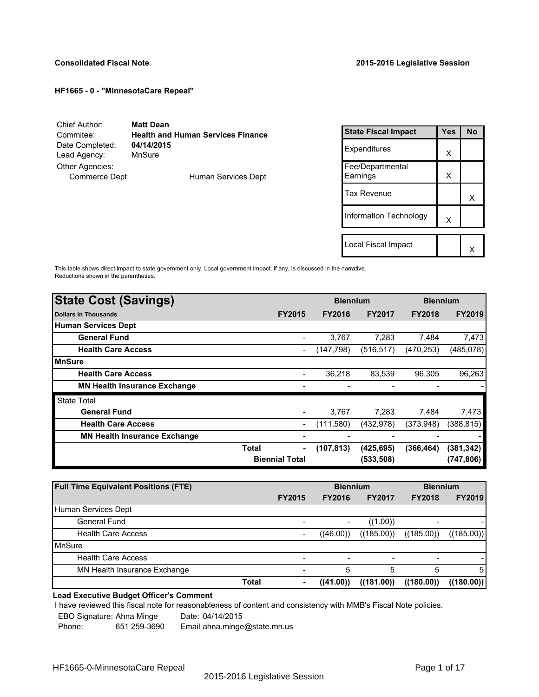| Chief Author:                           | <b>Matt Dean</b>                         |
|-----------------------------------------|------------------------------------------|
| Commitee:                               | <b>Health and Human Services Finance</b> |
| Date Completed:                         | 04/14/2015                               |
| Lead Agency:                            | MnSure                                   |
| Other Agencies:<br><b>Commerce Dept</b> | Human Services Dept                      |

| <b>State Fiscal Impact</b>   | <b>Yes</b> | No |
|------------------------------|------------|----|
| Expenditures                 | X          |    |
| Fee/Departmental<br>Earnings | X          |    |
| Tax Revenue                  |            | x  |
| Information Technology       | X          |    |
|                              |            |    |
| Local Fiscal Impact          |            |    |

This table shows direct impact to state government only. Local government impact. if any, is discussed in the narrative. Reductions shown in the parentheses.

| <b>State Cost (Savings)</b>         |                              | <b>Biennium</b> |               | <b>Biennium</b> |               |
|-------------------------------------|------------------------------|-----------------|---------------|-----------------|---------------|
| <b>Dollars in Thousands</b>         | <b>FY2015</b>                | <b>FY2016</b>   | <b>FY2017</b> | <b>FY2018</b>   | <b>FY2019</b> |
| <b>Human Services Dept</b>          |                              |                 |               |                 |               |
| <b>General Fund</b>                 | $\blacksquare$               | 3,767           | 7.283         | 7.484           | 7,473         |
| <b>Health Care Access</b>           | $\qquad \qquad \blacksquare$ | (147,798)       | (516, 517)    | (470, 253)      | (485,078)     |
| <b>MnSure</b>                       |                              |                 |               |                 |               |
| <b>Health Care Access</b>           | $\overline{\phantom{a}}$     | 36,218          | 83,539        | 96,305          | 96,263        |
| <b>MN Health Insurance Exchange</b> |                              |                 |               |                 |               |
| <b>State Total</b>                  |                              |                 |               |                 |               |
| <b>General Fund</b>                 |                              | 3,767           | 7,283         | 7.484           | 7,473         |
| <b>Health Care Access</b>           | $\qquad \qquad \blacksquare$ | (111,580)       | (432, 978)    | (373,948)       | (388, 815)    |
| <b>MN Health Insurance Exchange</b> | $\overline{\phantom{0}}$     |                 |               |                 |               |
|                                     | Total<br>٠                   | (107, 813)      | (425,695)     | (366, 464)      | (381,342)     |
|                                     | <b>Biennial Total</b>        |                 | (533, 508)    |                 | (747, 806)    |
|                                     |                              |                 |               |                 |               |

| <b>Full Time Equivalent Positions (FTE)</b> |                          | <b>Biennium</b> |               | <b>Biennium</b>          |               |
|---------------------------------------------|--------------------------|-----------------|---------------|--------------------------|---------------|
|                                             | <b>FY2015</b>            | <b>FY2016</b>   | <b>FY2017</b> | <b>FY2018</b>            | <b>FY2019</b> |
| Human Services Dept                         |                          |                 |               |                          |               |
| General Fund                                |                          |                 | ((1.00))      | -                        |               |
| <b>Health Care Access</b>                   | $\overline{\phantom{a}}$ | ((46.00))       | ((185.00))    | ((185.00))               | ((185.00))    |
| MnSure                                      |                          |                 |               |                          |               |
| <b>Health Care Access</b>                   | $\overline{\phantom{a}}$ |                 |               | $\overline{\phantom{a}}$ |               |
| MN Health Insurance Exchange                | $\overline{\phantom{a}}$ | 5               | 5             | 5                        | 5             |
| <b>Total</b>                                | $\blacksquare$           | ((41.00))       | ((181.00))    | ((180.00))               | ((180.00))    |

# **Lead Executive Budget Officer's Comment**

I have reviewed this fiscal note for reasonableness of content and consistency with MMB's Fiscal Note policies.

EBO Signature: Ahna Minge Date: 04/14/2015<br>Phone: 651 259-3690 Email ahna minge

Email ahna.minge@state.mn.us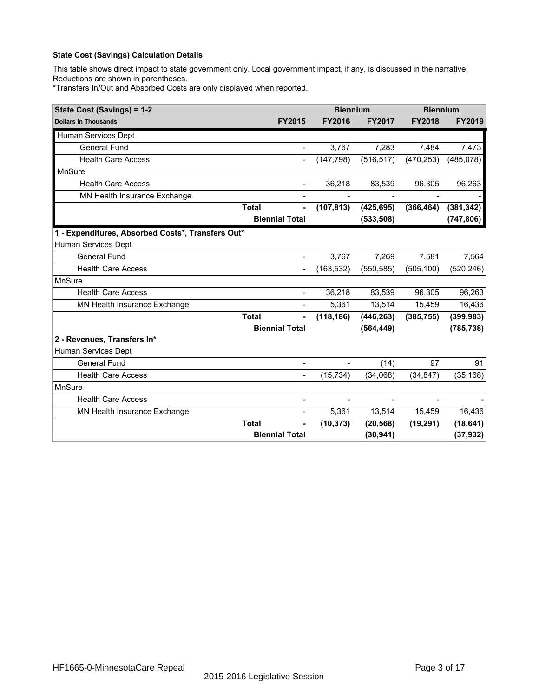This table shows direct impact to state government only. Local government impact, if any, is discussed in the narrative. Reductions are shown in parentheses.

\*Transfers In/Out and Absorbed Costs are only displayed when reported.

| State Cost (Savings) = 1-2                        |              |                          | <b>Biennium</b>          |                | <b>Biennium</b> |               |  |
|---------------------------------------------------|--------------|--------------------------|--------------------------|----------------|-----------------|---------------|--|
| <b>Dollars in Thousands</b>                       |              | <b>FY2015</b>            | <b>FY2016</b>            | <b>FY2017</b>  | <b>FY2018</b>   | <b>FY2019</b> |  |
| Human Services Dept                               |              |                          |                          |                |                 |               |  |
| <b>General Fund</b>                               |              | $\blacksquare$           | 3,767                    | 7,283          | 7,484           | 7,473         |  |
| <b>Health Care Access</b>                         |              | $\overline{\phantom{a}}$ | (147, 798)               | (516, 517)     | (470, 253)      | (485,078)     |  |
| MnSure                                            |              |                          |                          |                |                 |               |  |
| <b>Health Care Access</b>                         |              | $\blacksquare$           | 36,218                   | 83,539         | 96,305          | 96,263        |  |
| MN Health Insurance Exchange                      |              | $\blacksquare$           | $\overline{a}$           | $\blacksquare$ |                 |               |  |
|                                                   | <b>Total</b> |                          | (107, 813)               | (425, 695)     | (366, 464)      | (381, 342)    |  |
|                                                   |              | <b>Biennial Total</b>    |                          | (533, 508)     |                 | (747, 806)    |  |
| 1 - Expenditures, Absorbed Costs*, Transfers Out* |              |                          |                          |                |                 |               |  |
| Human Services Dept                               |              |                          |                          |                |                 |               |  |
| <b>General Fund</b>                               |              | $\blacksquare$           | 3,767                    | 7,269          | 7,581           | 7,564         |  |
| <b>Health Care Access</b>                         |              | $\overline{\phantom{a}}$ | (163, 532)               | (550, 585)     | (505, 100)      | (520, 246)    |  |
| <b>MnSure</b>                                     |              |                          |                          |                |                 |               |  |
| <b>Health Care Access</b>                         |              | $\blacksquare$           | 36,218                   | 83,539         | 96,305          | 96,263        |  |
| MN Health Insurance Exchange                      |              | $\blacksquare$           | 5,361                    | 13,514         | 15,459          | 16,436        |  |
|                                                   | <b>Total</b> |                          | (118, 186)               | (446, 263)     | (385, 755)      | (399, 983)    |  |
|                                                   |              | <b>Biennial Total</b>    |                          | (564, 449)     |                 | (785, 738)    |  |
| 2 - Revenues, Transfers In*                       |              |                          |                          |                |                 |               |  |
| Human Services Dept                               |              |                          |                          |                |                 |               |  |
| <b>General Fund</b>                               |              | $\blacksquare$           | $\overline{\phantom{0}}$ | (14)           | 97              | 91            |  |
| <b>Health Care Access</b>                         |              | -                        | (15, 734)                | (34,068)       | (34, 847)       | (35, 168)     |  |
| <b>MnSure</b>                                     |              |                          |                          |                |                 |               |  |
| <b>Health Care Access</b>                         |              | $\overline{\phantom{a}}$ | $\overline{\phantom{0}}$ | $\blacksquare$ |                 |               |  |
| MN Health Insurance Exchange                      |              | $\blacksquare$           | 5,361                    | 13,514         | 15,459          | 16,436        |  |
|                                                   | <b>Total</b> |                          | (10, 373)                | (20, 568)      | (19, 291)       | (18, 641)     |  |
|                                                   |              | <b>Biennial Total</b>    |                          | (30, 941)      |                 | (37, 932)     |  |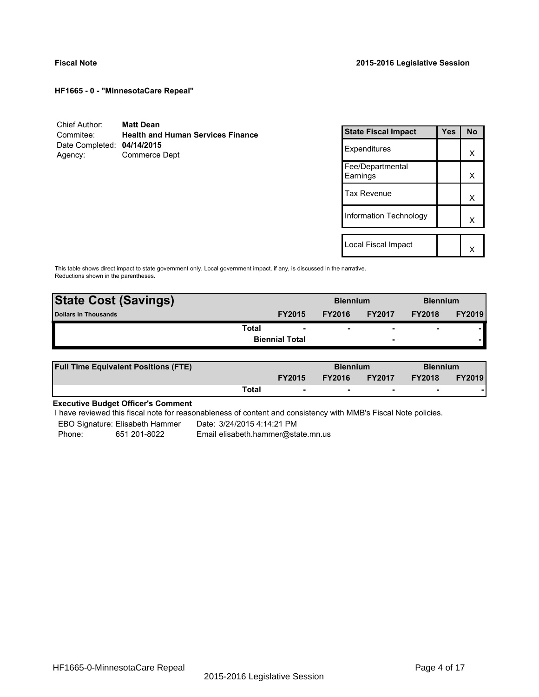| Chief Author:              | <b>Matt Dean</b>                         |
|----------------------------|------------------------------------------|
| Commitee:                  | <b>Health and Human Services Finance</b> |
| Date Completed: 04/14/2015 |                                          |
| Agency:                    | Commerce Dept                            |

| <b>State Fiscal Impact</b>   | Yes | <b>No</b> |
|------------------------------|-----|-----------|
| Expenditures                 |     | x         |
| Fee/Departmental<br>Earnings |     | х         |
| <b>Tax Revenue</b>           |     | x         |
| Information Technology       |     | x         |
|                              |     |           |
| Local Fiscal Impact          |     |           |

This table shows direct impact to state government only. Local government impact. if any, is discussed in the narrative. Reductions shown in the parentheses.

| <b>State Cost (Savings)</b> |       |                       | <b>Biennium</b> |                          | <b>Biennium</b> |               |
|-----------------------------|-------|-----------------------|-----------------|--------------------------|-----------------|---------------|
| Dollars in Thousands        |       | <b>FY2015</b>         | <b>FY2016</b>   | <b>FY2017</b>            | <b>FY2018</b>   | <b>FY2019</b> |
|                             | Total |                       | ۰               | $\overline{\phantom{0}}$ | $\blacksquare$  |               |
|                             |       | <b>Biennial Total</b> |                 | $\overline{\phantom{0}}$ |                 |               |

| <b>Full Time Equivalent Positions (FTE)</b> |       |                          | <b>Biennium</b> |                          | <b>Biennium</b> |               |
|---------------------------------------------|-------|--------------------------|-----------------|--------------------------|-----------------|---------------|
|                                             |       | <b>FY2015</b>            | <b>FY2016</b>   | <b>FY2017</b>            | <b>FY2018</b>   | <b>FY2019</b> |
|                                             | Total | $\overline{\phantom{a}}$ | $\sim$          | $\overline{\phantom{a}}$ | $\sim$          |               |

# **Executive Budget Officer's Comment**

-

I have reviewed this fiscal note for reasonableness of content and consistency with MMB's Fiscal Note policies.

EBO Signature: Elisabeth Hammer Date: 3/24/2015 4:14:21 PM

Phone: 651 201-8022 Email elisabeth.hammer@state.mn.us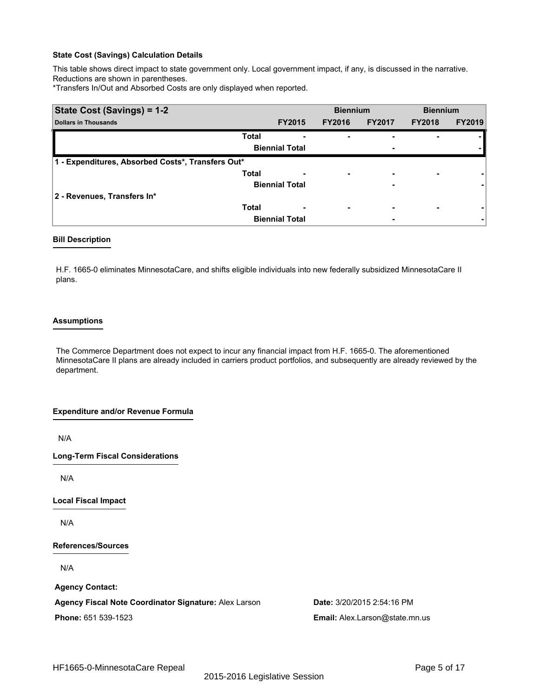This table shows direct impact to state government only. Local government impact, if any, is discussed in the narrative. Reductions are shown in parentheses.

\*Transfers In/Out and Absorbed Costs are only displayed when reported.

| State Cost (Savings) = 1-2                        |              |                       | <b>Biennium</b>          |               | <b>Biennium</b> |               |
|---------------------------------------------------|--------------|-----------------------|--------------------------|---------------|-----------------|---------------|
| <b>Dollars in Thousands</b>                       |              | <b>FY2015</b>         | <b>FY2016</b>            | <b>FY2017</b> | <b>FY2018</b>   | <b>FY2019</b> |
|                                                   | <b>Total</b> |                       | ۰                        |               |                 |               |
|                                                   |              | <b>Biennial Total</b> |                          | ٠             |                 |               |
| 1 - Expenditures, Absorbed Costs*, Transfers Out* |              |                       |                          |               |                 |               |
|                                                   | <b>Total</b> | ٠                     | $\overline{\phantom{0}}$ | ٠             | ۰               |               |
|                                                   |              | <b>Biennial Total</b> |                          | ٠             |                 |               |
| 2 - Revenues, Transfers In*                       |              |                       |                          |               |                 |               |
|                                                   | <b>Total</b> | ٠                     | $\overline{\phantom{0}}$ | ۰             | ۰               |               |
|                                                   |              | <b>Biennial Total</b> |                          | ۰             |                 | ٠             |

#### **Bill Description**

H.F. 1665-0 eliminates MinnesotaCare, and shifts eligible individuals into new federally subsidized MinnesotaCare II plans.

#### **Assumptions**

The Commerce Department does not expect to incur any financial impact from H.F. 1665-0. The aforementioned MinnesotaCare II plans are already included in carriers product portfolios, and subsequently are already reviewed by the department.

### **Expenditure and/or Revenue Formula**

N/A

**Long-Term Fiscal Considerations**

N/A

**Local Fiscal Impact**

N/A

#### **References/Sources**

N/A

**Agency Contact:**

**Agency Fiscal Note Coordinator Signature:** Alex Larson **Date:** 3/20/2015 2:54:16 PM

**Phone:** 651 539-1523 **Email:** Alex.Larson@state.mn.us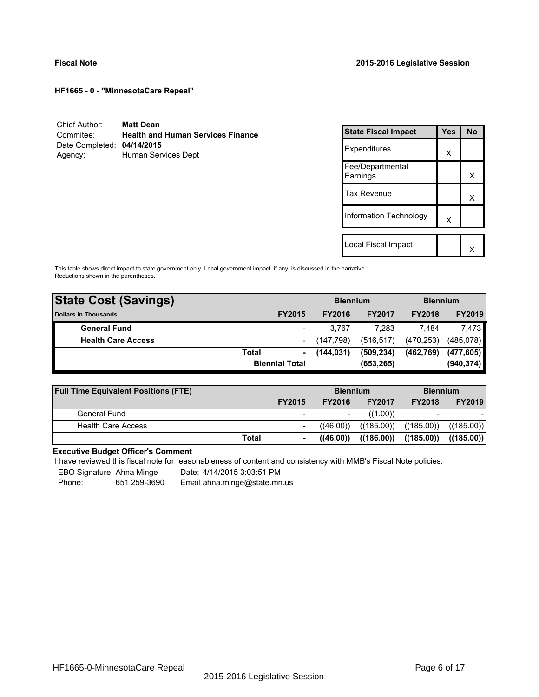| Chief Author:              | <b>Matt Dean</b>                         |
|----------------------------|------------------------------------------|
| Commitee:                  | <b>Health and Human Services Finance</b> |
| Date Completed: 04/14/2015 |                                          |
| Agency:                    | Human Services Dept                      |

| <b>State Fiscal Impact</b>   | Yes | <b>No</b> |
|------------------------------|-----|-----------|
| Expenditures                 | x   |           |
| Fee/Departmental<br>Earnings |     | x         |
| <b>Tax Revenue</b>           |     | x         |
| Information Technology       | X   |           |
| Local Fiscal Impact          |     |           |
|                              |     |           |

This table shows direct impact to state government only. Local government impact. if any, is discussed in the narrative. Reductions shown in the parentheses.

| <b>State Cost (Savings)</b> |                       |                          | <b>Biennium</b> |               | <b>Biennium</b> |            |
|-----------------------------|-----------------------|--------------------------|-----------------|---------------|-----------------|------------|
| <b>Dollars in Thousands</b> |                       | <b>FY2015</b>            | <b>FY2016</b>   | <b>FY2017</b> | <b>FY2018</b>   | FY2019     |
| <b>General Fund</b>         |                       |                          | 3.767           | 7.283         | 7.484           | 7,473      |
| <b>Health Care Access</b>   |                       | $\overline{\phantom{0}}$ | (147.798)       | (516, 517)    | (470, 253)      | (485,078)  |
|                             | Total                 | ۰                        | (144, 031)      | (509, 234)    | (462, 769)      | (477, 605) |
|                             | <b>Biennial Total</b> |                          | (653, 265)      |               |                 | (940, 374) |
|                             |                       |                          |                 |               |                 |            |

| <b>Full Time Equivalent Positions (FTE)</b> |       |                          | <b>Biennium</b> |               |                          | <b>Biennium</b> |  |
|---------------------------------------------|-------|--------------------------|-----------------|---------------|--------------------------|-----------------|--|
|                                             |       | <b>FY2015</b>            | <b>FY2016</b>   | <b>FY2017</b> | <b>FY2018</b>            | <b>FY2019</b>   |  |
| General Fund                                |       | $\overline{\phantom{0}}$ |                 | ((1.00))      | $\overline{\phantom{0}}$ |                 |  |
| <b>Health Care Access</b>                   |       |                          | ((46.00))       | ((185.00))    | ((185.00))               | ((185.00))      |  |
|                                             | Total | ۰.                       | ((46.00))       | ((186.00))    | ((185.00))               | ((185.00))      |  |

# **Executive Budget Officer's Comment**

I have reviewed this fiscal note for reasonableness of content and consistency with MMB's Fiscal Note policies.

EBO Signature: Ahna Minge Date: 4/14/2015 3:03:51 PM<br>Phone: 651 259-3690 Email ahna minge@state.mn Phone: 651 259-3690 Email ahna.minge@state.mn.us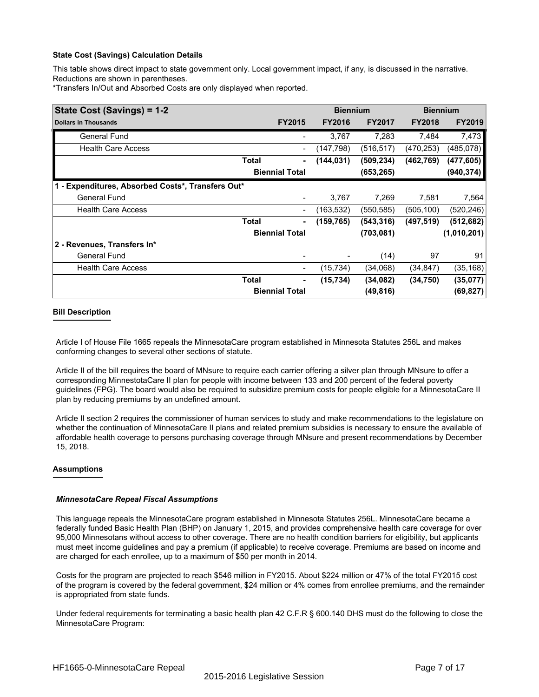This table shows direct impact to state government only. Local government impact, if any, is discussed in the narrative. Reductions are shown in parentheses.

\*Transfers In/Out and Absorbed Costs are only displayed when reported.

| State Cost (Savings) = 1-2                        |       |                              | <b>Biennium</b> |               | <b>Biennium</b> |               |
|---------------------------------------------------|-------|------------------------------|-----------------|---------------|-----------------|---------------|
| <b>Dollars in Thousands</b>                       |       | <b>FY2015</b>                | <b>FY2016</b>   | <b>FY2017</b> | <b>FY2018</b>   | <b>FY2019</b> |
| General Fund                                      |       | $\qquad \qquad \blacksquare$ | 3,767           | 7,283         | 7,484           | 7,473         |
| <b>Health Care Access</b>                         |       | $\overline{\phantom{a}}$     | (147,798)       | (516, 517)    | (470, 253)      | (485,078)     |
|                                                   | Total | ٠                            | (144, 031)      | (509, 234)    | (462, 769)      | (477, 605)    |
|                                                   |       | <b>Biennial Total</b>        |                 | (653, 265)    |                 | (940, 374)    |
| 1 - Expenditures, Absorbed Costs*, Transfers Out* |       |                              |                 |               |                 |               |
| <b>General Fund</b>                               |       | $\overline{\phantom{a}}$     | 3,767           | 7,269         | 7,581           | 7,564         |
| <b>Health Care Access</b>                         |       | $\overline{\phantom{a}}$     | (163, 532)      | (550, 585)    | (505, 100)      | (520, 246)    |
|                                                   | Total | ٠                            | (159, 765)      | (543, 316)    | (497, 519)      | (512, 682)    |
|                                                   |       | <b>Biennial Total</b>        |                 | (703, 081)    |                 | (1,010,201)   |
| 2 - Revenues, Transfers In*                       |       |                              |                 |               |                 |               |
| <b>General Fund</b>                               |       |                              |                 | (14)          | 97              | 91            |
| <b>Health Care Access</b>                         |       | -                            | (15, 734)       | (34,068)      | (34, 847)       | (35, 168)     |
|                                                   | Total | ۰                            | (15, 734)       | (34,082)      | (34, 750)       | (35,077)      |
|                                                   |       | <b>Biennial Total</b>        |                 | (49, 816)     |                 | (69, 827)     |

### **Bill Description**

Article I of House File 1665 repeals the MinnesotaCare program established in Minnesota Statutes 256L and makes conforming changes to several other sections of statute.

Article II of the bill requires the board of MNsure to require each carrier offering a silver plan through MNsure to offer a corresponding MinnestotaCare II plan for people with income between 133 and 200 percent of the federal poverty guidelines (FPG). The board would also be required to subsidize premium costs for people eligible for a MinnesotaCare II plan by reducing premiums by an undefined amount.

Article II section 2 requires the commissioner of human services to study and make recommendations to the legislature on whether the continuation of MinnesotaCare II plans and related premium subsidies is necessary to ensure the available of affordable health coverage to persons purchasing coverage through MNsure and present recommendations by December 15, 2018.

### **Assumptions**

### *MinnesotaCare Repeal Fiscal Assumptions*

This language repeals the MinnesotaCare program established in Minnesota Statutes 256L. MinnesotaCare became a federally funded Basic Health Plan (BHP) on January 1, 2015, and provides comprehensive health care coverage for over 95,000 Minnesotans without access to other coverage. There are no health condition barriers for eligibility, but applicants must meet income guidelines and pay a premium (if applicable) to receive coverage. Premiums are based on income and are charged for each enrollee, up to a maximum of \$50 per month in 2014.

Costs for the program are projected to reach \$546 million in FY2015. About \$224 million or 47% of the total FY2015 cost of the program is covered by the federal government, \$24 million or 4% comes from enrollee premiums, and the remainder is appropriated from state funds.

Under federal requirements for terminating a basic health plan 42 C.F.R § 600.140 DHS must do the following to close the MinnesotaCare Program: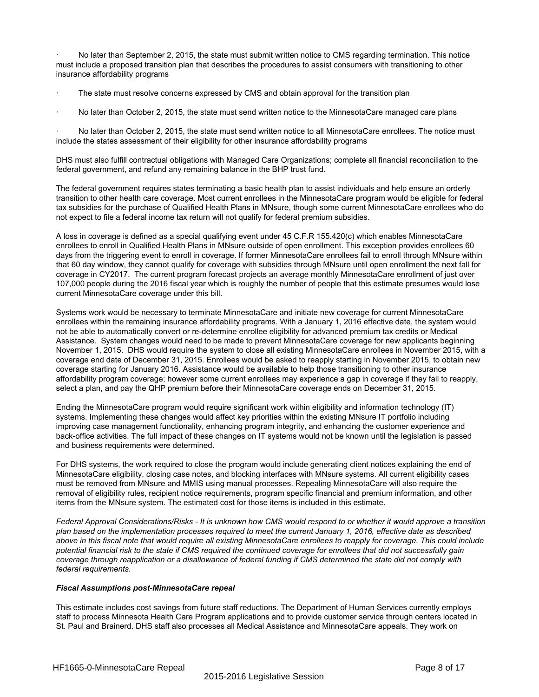No later than September 2, 2015, the state must submit written notice to CMS regarding termination. This notice must include a proposed transition plan that describes the procedures to assist consumers with transitioning to other insurance affordability programs

The state must resolve concerns expressed by CMS and obtain approval for the transition plan

· No later than October 2, 2015, the state must send written notice to the MinnesotaCare managed care plans

· No later than October 2, 2015, the state must send written notice to all MinnesotaCare enrollees. The notice must include the states assessment of their eligibility for other insurance affordability programs

DHS must also fulfill contractual obligations with Managed Care Organizations; complete all financial reconciliation to the federal government, and refund any remaining balance in the BHP trust fund.

The federal government requires states terminating a basic health plan to assist individuals and help ensure an orderly transition to other health care coverage. Most current enrollees in the MinnesotaCare program would be eligible for federal tax subsidies for the purchase of Qualified Health Plans in MNsure, though some current MinnesotaCare enrollees who do not expect to file a federal income tax return will not qualify for federal premium subsidies.

A loss in coverage is defined as a special qualifying event under 45 C.F.R 155.420(c) which enables MinnesotaCare enrollees to enroll in Qualified Health Plans in MNsure outside of open enrollment. This exception provides enrollees 60 days from the triggering event to enroll in coverage. If former MinnesotaCare enrollees fail to enroll through MNsure within that 60 day window, they cannot qualify for coverage with subsidies through MNsure until open enrollment the next fall for coverage in CY2017. The current program forecast projects an average monthly MinnesotaCare enrollment of just over 107,000 people during the 2016 fiscal year which is roughly the number of people that this estimate presumes would lose current MinnesotaCare coverage under this bill.

Systems work would be necessary to terminate MinnesotaCare and initiate new coverage for current MinnesotaCare enrollees within the remaining insurance affordability programs. With a January 1, 2016 effective date, the system would not be able to automatically convert or re-determine enrollee eligibility for advanced premium tax credits or Medical Assistance. System changes would need to be made to prevent MinnesotaCare coverage for new applicants beginning November 1, 2015. DHS would require the system to close all existing MinnesotaCare enrollees in November 2015, with a coverage end date of December 31, 2015. Enrollees would be asked to reapply starting in November 2015, to obtain new coverage starting for January 2016. Assistance would be available to help those transitioning to other insurance affordability program coverage; however some current enrollees may experience a gap in coverage if they fail to reapply, select a plan, and pay the QHP premium before their MinnesotaCare coverage ends on December 31, 2015.

Ending the MinnesotaCare program would require significant work within eligibility and information technology (IT) systems. Implementing these changes would affect key priorities within the existing MNsure IT portfolio including improving case management functionality, enhancing program integrity, and enhancing the customer experience and back-office activities. The full impact of these changes on IT systems would not be known until the legislation is passed and business requirements were determined.

For DHS systems, the work required to close the program would include generating client notices explaining the end of MinnesotaCare eligibility, closing case notes, and blocking interfaces with MNsure systems. All current eligibility cases must be removed from MNsure and MMIS using manual processes. Repealing MinnesotaCare will also require the removal of eligibility rules, recipient notice requirements, program specific financial and premium information, and other items from the MNsure system. The estimated cost for those items is included in this estimate.

*Federal Approval Considerations/Risks - It is unknown how CMS would respond to or whether it would approve a transition plan based on the implementation processes required to meet the current January 1, 2016, effective date as described above in this fiscal note that would require all existing MinnesotaCare enrollees to reapply for coverage. This could include potential financial risk to the state if CMS required the continued coverage for enrollees that did not successfully gain coverage through reapplication or a disallowance of federal funding if CMS determined the state did not comply with federal requirements.*

#### *Fiscal Assumptions post-MinnesotaCare repeal*

This estimate includes cost savings from future staff reductions. The Department of Human Services currently employs staff to process Minnesota Health Care Program applications and to provide customer service through centers located in St. Paul and Brainerd. DHS staff also processes all Medical Assistance and MinnesotaCare appeals. They work on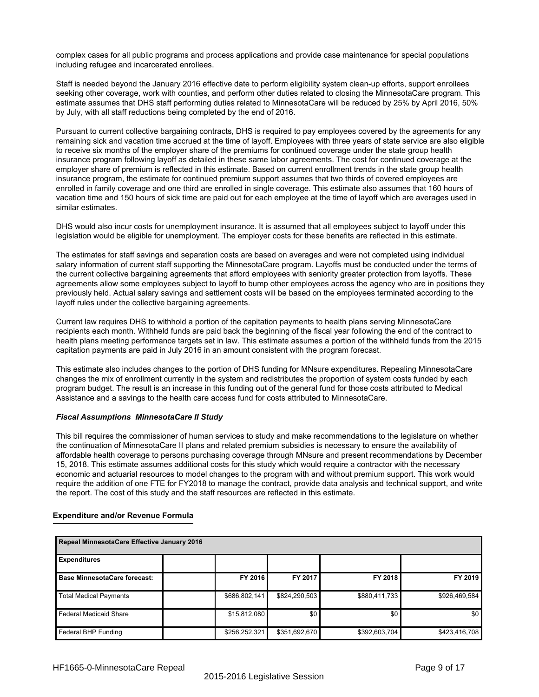complex cases for all public programs and process applications and provide case maintenance for special populations including refugee and incarcerated enrollees.

Staff is needed beyond the January 2016 effective date to perform eligibility system clean-up efforts, support enrollees seeking other coverage, work with counties, and perform other duties related to closing the MinnesotaCare program. This estimate assumes that DHS staff performing duties related to MinnesotaCare will be reduced by 25% by April 2016, 50% by July, with all staff reductions being completed by the end of 2016.

Pursuant to current collective bargaining contracts, DHS is required to pay employees covered by the agreements for any remaining sick and vacation time accrued at the time of layoff. Employees with three years of state service are also eligible to receive six months of the employer share of the premiums for continued coverage under the state group health insurance program following layoff as detailed in these same labor agreements. The cost for continued coverage at the employer share of premium is reflected in this estimate. Based on current enrollment trends in the state group health insurance program, the estimate for continued premium support assumes that two thirds of covered employees are enrolled in family coverage and one third are enrolled in single coverage. This estimate also assumes that 160 hours of vacation time and 150 hours of sick time are paid out for each employee at the time of layoff which are averages used in similar estimates.

DHS would also incur costs for unemployment insurance. It is assumed that all employees subject to layoff under this legislation would be eligible for unemployment. The employer costs for these benefits are reflected in this estimate.

The estimates for staff savings and separation costs are based on averages and were not completed using individual salary information of current staff supporting the MinnesotaCare program. Layoffs must be conducted under the terms of the current collective bargaining agreements that afford employees with seniority greater protection from layoffs. These agreements allow some employees subject to layoff to bump other employees across the agency who are in positions they previously held. Actual salary savings and settlement costs will be based on the employees terminated according to the layoff rules under the collective bargaining agreements.

Current law requires DHS to withhold a portion of the capitation payments to health plans serving MinnesotaCare recipients each month. Withheld funds are paid back the beginning of the fiscal year following the end of the contract to health plans meeting performance targets set in law. This estimate assumes a portion of the withheld funds from the 2015 capitation payments are paid in July 2016 in an amount consistent with the program forecast.

This estimate also includes changes to the portion of DHS funding for MNsure expenditures. Repealing MinnesotaCare changes the mix of enrollment currently in the system and redistributes the proportion of system costs funded by each program budget. The result is an increase in this funding out of the general fund for those costs attributed to Medical Assistance and a savings to the health care access fund for costs attributed to MinnesotaCare.

### *Fiscal Assumptions MinnesotaCare II Study*

This bill requires the commissioner of human services to study and make recommendations to the legislature on whether the continuation of MinnesotaCare II plans and related premium subsidies is necessary to ensure the availability of affordable health coverage to persons purchasing coverage through MNsure and present recommendations by December 15, 2018. This estimate assumes additional costs for this study which would require a contractor with the necessary economic and actuarial resources to model changes to the program with and without premium support. This work would require the addition of one FTE for FY2018 to manage the contract, provide data analysis and technical support, and write the report. The cost of this study and the staff resources are reflected in this estimate.

# **Expenditure and/or Revenue Formula**

| Repeal MinnesotaCare Effective January 2016 |               |               |               |               |  |  |  |  |  |
|---------------------------------------------|---------------|---------------|---------------|---------------|--|--|--|--|--|
| <b>Expenditures</b>                         |               |               |               |               |  |  |  |  |  |
| <b>Base MinnesotaCare forecast:</b>         | FY 2016       | FY 2017       | FY 2018       | FY 2019       |  |  |  |  |  |
| <b>Total Medical Payments</b>               | \$686,802,141 | \$824,290,503 | \$880,411,733 | \$926,469,584 |  |  |  |  |  |
| <b>Federal Medicaid Share</b>               | \$15,812,080  | \$0           | \$0           | \$0           |  |  |  |  |  |
| Federal BHP Funding                         | \$256,252,321 | \$351,692,670 | \$392,603,704 | \$423,416,708 |  |  |  |  |  |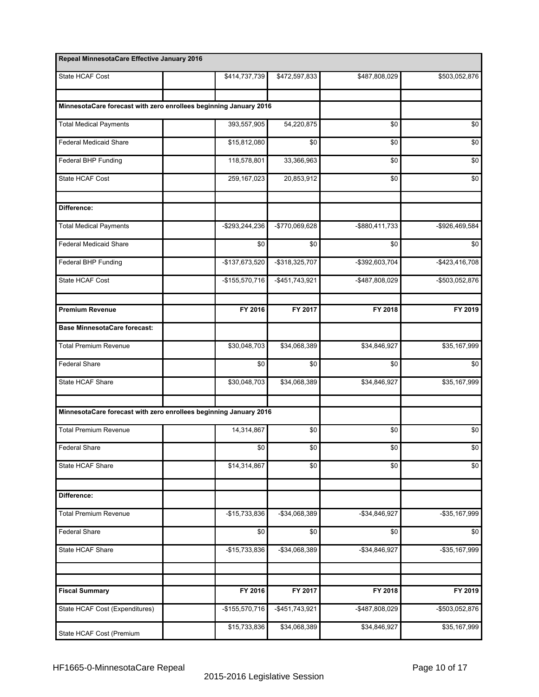| Repeal MinnesotaCare Effective January 2016                       |                 |                   |                 |                   |
|-------------------------------------------------------------------|-----------------|-------------------|-----------------|-------------------|
| State HCAF Cost                                                   | \$414,737,739   | \$472,597,833     | \$487,808,029   | \$503,052,876     |
|                                                                   |                 |                   |                 |                   |
| MinnesotaCare forecast with zero enrollees beginning January 2016 |                 |                   |                 |                   |
| <b>Total Medical Payments</b>                                     | 393,557,905     | 54,220,875        | \$0             | \$0               |
| <b>Federal Medicaid Share</b>                                     | \$15,812,080    | \$0               | \$0             | \$0               |
| Federal BHP Funding                                               | 118,578,801     | 33,366,963        | \$0             | \$0               |
| State HCAF Cost                                                   | 259,167,023     | 20,853,912        | \$0             | \$0               |
| Difference:                                                       |                 |                   |                 |                   |
| <b>Total Medical Payments</b>                                     | -\$293,244,236  | -\$770,069,628    | -\$880,411,733  | -\$926,469,584    |
| <b>Federal Medicaid Share</b>                                     | \$0             | \$0               | \$0             | \$0               |
| Federal BHP Funding                                               | -\$137,673,520  | -\$318,325,707    | -\$392,603,704  | $-$ \$423,416,708 |
| State HCAF Cost                                                   | $-$155,570,716$ | $-$ \$451,743,921 | -\$487,808,029  | -\$503,052,876    |
| <b>Premium Revenue</b>                                            | FY 2016         | FY 2017           | FY 2018         | FY 2019           |
| <b>Base MinnesotaCare forecast:</b>                               |                 |                   |                 |                   |
| <b>Total Premium Revenue</b>                                      | \$30,048,703    | \$34,068,389      | \$34,846,927    | \$35,167,999      |
| <b>Federal Share</b>                                              | \$0             | \$0               | \$0             | \$0               |
| State HCAF Share                                                  | \$30,048,703    | \$34,068,389      | \$34,846,927    | \$35,167,999      |
|                                                                   |                 |                   |                 |                   |
| MinnesotaCare forecast with zero enrollees beginning January 2016 |                 |                   |                 |                   |
| <b>Total Premium Revenue</b>                                      | 14,314,867      | \$0               | \$0             | \$0               |
| <b>Federal Share</b>                                              | \$0             | \$0               | $\overline{30}$ | \$0               |
| State HCAF Share                                                  | \$14,314,867    | \$0               | \$0             | \$0               |
| Difference:                                                       |                 |                   |                 |                   |
| <b>Total Premium Revenue</b>                                      | -\$15,733,836   | -\$34,068,389     | $-$34,846,927$  | -\$35,167,999     |
| <b>Federal Share</b>                                              | \$0             | \$0               | \$0             | \$0               |
| State HCAF Share                                                  | -\$15,733,836   | -\$34,068,389     | $-$34,846,927$  | -\$35,167,999     |
|                                                                   |                 |                   |                 |                   |
| <b>Fiscal Summary</b>                                             | FY 2016         | FY 2017           | FY 2018         | FY 2019           |
| State HCAF Cost (Expenditures)                                    | -\$155,570,716  | -\$451,743,921    | -\$487,808,029  | -\$503,052,876    |
| State HCAF Cost (Premium                                          | \$15,733,836    | \$34,068,389      | \$34,846,927    | \$35,167,999      |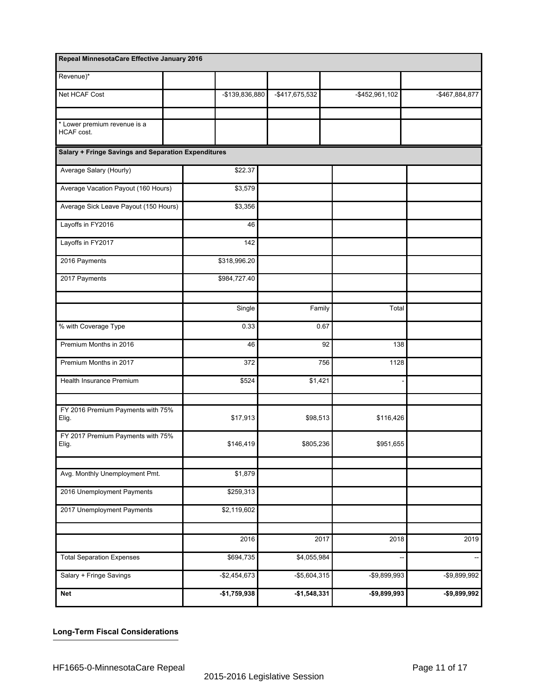| Repeal MinnesotaCare Effective January 2016         |                |                |                |                |
|-----------------------------------------------------|----------------|----------------|----------------|----------------|
| Revenue)*                                           |                |                |                |                |
| Net HCAF Cost                                       | -\$139,836,880 | -\$417,675,532 | -\$452,961,102 | -\$467,884,877 |
|                                                     |                |                |                |                |
| * Lower premium revenue is a<br>HCAF cost.          |                |                |                |                |
| Salary + Fringe Savings and Separation Expenditures |                |                |                |                |
| Average Salary (Hourly)                             | \$22.37        |                |                |                |
| Average Vacation Payout (160 Hours)                 | \$3,579        |                |                |                |
| Average Sick Leave Payout (150 Hours)               | \$3,356        |                |                |                |
| Layoffs in FY2016                                   | 46             |                |                |                |
| Layoffs in FY2017                                   | 142            |                |                |                |
| 2016 Payments                                       | \$318,996.20   |                |                |                |
| 2017 Payments                                       | \$984,727.40   |                |                |                |
|                                                     |                |                |                |                |
|                                                     | Single         | Family         | Total          |                |
| % with Coverage Type                                | 0.33           |                | 0.67           |                |
| Premium Months in 2016                              | 46             |                | 92<br>138      |                |
| Premium Months in 2017                              | 372            |                | 756<br>1128    |                |
| Health Insurance Premium                            | \$524          | \$1,421        |                |                |
|                                                     |                |                |                |                |
| FY 2016 Premium Payments with 75%<br>Elig.          | \$17,913       | \$98,513       | \$116,426      |                |
| FY 2017 Premium Payments with 75%<br>Elig.          | \$146,419      | \$805,236      | \$951,655      |                |
|                                                     |                |                |                |                |
| Avg. Monthly Unemployment Pmt.                      | \$1,879        |                |                |                |
| 2016 Unemployment Payments                          | \$259,313      |                |                |                |
| 2017 Unemployment Payments                          | \$2,119,602    |                |                |                |
|                                                     |                |                |                |                |
|                                                     | 2016           |                | 2017<br>2018   | 2019           |
| <b>Total Separation Expenses</b>                    | \$694,735      | \$4,055,984    |                |                |
| Salary + Fringe Savings                             | $-$2,454,673$  | $-$5,604,315$  | -\$9,899,993   | -\$9,899,992   |
| Net                                                 | $-$1,759,938$  | $-$1,548,331$  | -\$9,899,993   | -\$9,899,992   |

# **Long-Term Fiscal Considerations**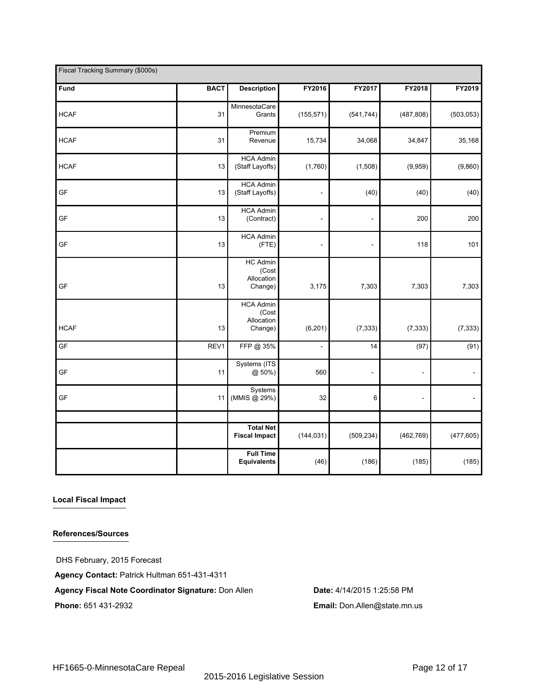| Fiscal Tracking Summary (\$000s) |             |                                                    |                          |                          |                          |                          |
|----------------------------------|-------------|----------------------------------------------------|--------------------------|--------------------------|--------------------------|--------------------------|
| Fund                             | <b>BACT</b> | <b>Description</b>                                 | FY2016                   | FY2017                   | FY2018                   | FY2019                   |
| <b>HCAF</b>                      | 31          | MinnesotaCare<br>Grants                            | (155, 571)               | (541, 744)               | (487, 808)               | (503, 053)               |
| <b>HCAF</b>                      | 31          | Premium<br>Revenue                                 | 15,734                   | 34,068                   | 34,847                   | 35,168                   |
| <b>HCAF</b>                      | 13          | <b>HCA Admin</b><br>(Staff Layoffs)                | (1,760)                  | (1,508)                  | (9,959)                  | (9,860)                  |
| GF                               | 13          | <b>HCA Admin</b><br>(Staff Layoffs)                | ÷,                       | (40)                     | (40)                     | (40)                     |
| GF                               | 13          | <b>HCA Admin</b><br>(Contract)                     | $\overline{\phantom{a}}$ | $\overline{\phantom{a}}$ | 200                      | 200                      |
| GF                               | 13          | <b>HCA Admin</b><br>(FTE)                          | $\overline{\phantom{a}}$ | L,                       | 118                      | 101                      |
| GF                               | 13          | HC Admin<br>(Cost<br>Allocation<br>Change)         | 3,175                    | 7,303                    | 7,303                    | 7,303                    |
| <b>HCAF</b>                      | 13          | <b>HCA Admin</b><br>(Cost<br>Allocation<br>Change) | (6, 201)                 | (7, 333)                 | (7, 333)                 | (7, 333)                 |
| GF                               | REV1        | FFP @ 35%                                          | ÷,                       | 14                       | (97)                     | (91)                     |
| GF                               | 11          | Systems (ITS<br>@ 50%)                             | 560                      | $\overline{\phantom{a}}$ | $\overline{\phantom{m}}$ | $\overline{\phantom{a}}$ |
| GF                               | 11          | Systems<br>(MMIS @ 29%)                            | 32                       | 6                        | $\overline{\phantom{a}}$ |                          |
|                                  |             |                                                    |                          |                          |                          |                          |
|                                  |             | <b>Total Net</b><br><b>Fiscal Impact</b>           | (144, 031)               | (509, 234)               | (462, 769)               | (477, 605)               |
|                                  |             | <b>Full Time</b><br><b>Equivalents</b>             | (46)                     | (186)                    | (185)                    | (185)                    |

### **Local Fiscal Impact**

# **References/Sources**

DHS February, 2015 Forecast **Agency Contact:** Patrick Hultman 651-431-4311 **Agency Fiscal Note Coordinator Signature:** Don Allen **Date:** 4/14/2015 1:25:58 PM **Phone:** 651 431-2932 **Email:** Don.Allen@state.mn.us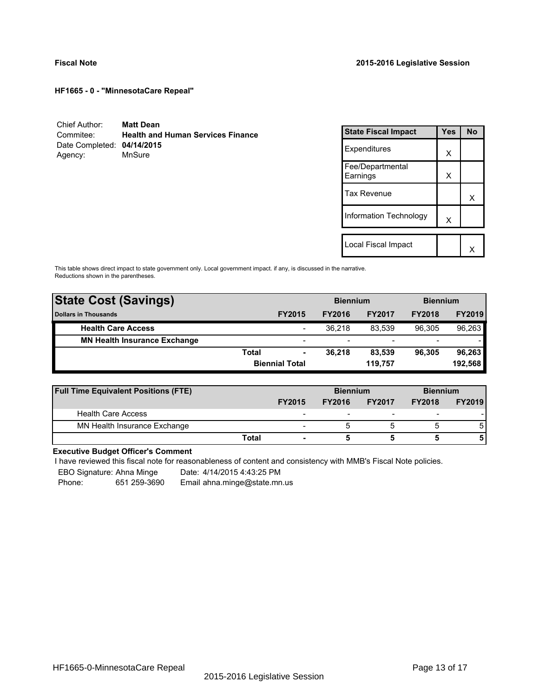| Chief Author:              | <b>Matt Dean</b>                         |
|----------------------------|------------------------------------------|
| Commitee:                  | <b>Health and Human Services Finance</b> |
| Date Completed: 04/14/2015 |                                          |
| Agency:                    | MnSure                                   |

| <b>State Fiscal Impact</b>   | Yes | <b>No</b> |
|------------------------------|-----|-----------|
| Expenditures                 | X   |           |
| Fee/Departmental<br>Earnings | X   |           |
| <b>Tax Revenue</b>           |     | x         |
| Information Technology       | X   |           |
|                              |     |           |
| Local Fiscal Impact          |     |           |

This table shows direct impact to state government only. Local government impact. if any, is discussed in the narrative. Reductions shown in the parentheses.

| <b>State Cost (Savings)</b>         |       |                       | <b>Biennium</b> |                          | <b>Biennium</b>          |               |
|-------------------------------------|-------|-----------------------|-----------------|--------------------------|--------------------------|---------------|
| <b>Dollars in Thousands</b>         |       | <b>FY2015</b>         | <b>FY2016</b>   | <b>FY2017</b>            | <b>FY2018</b>            | <b>FY2019</b> |
| <b>Health Care Access</b>           |       | -                     | 36.218          | 83.539                   | 96.305                   | 96,263        |
| <b>MN Health Insurance Exchange</b> |       | -                     |                 | $\overline{\phantom{0}}$ | $\overline{\phantom{a}}$ |               |
|                                     | Total | ۰                     | 36.218          | 83.539                   | 96.305                   | 96,263        |
|                                     |       | <b>Biennial Total</b> |                 | 119.757                  |                          | 192,568       |

| <b>Full Time Equivalent Positions (FTE)</b> |       |                          | <b>Biennium</b> |                          | <b>Biennium</b>          |               |
|---------------------------------------------|-------|--------------------------|-----------------|--------------------------|--------------------------|---------------|
|                                             |       | <b>FY2015</b>            | <b>FY2016</b>   | <b>FY2017</b>            | <b>FY2018</b>            | <b>FY2019</b> |
| <b>Health Care Access</b>                   |       | -                        |                 | $\overline{\phantom{0}}$ | $\overline{\phantom{0}}$ |               |
| MN Health Insurance Exchange                |       | $\overline{\phantom{0}}$ |                 |                          |                          | 5             |
|                                             | Total | $\overline{\phantom{0}}$ |                 |                          |                          | 5             |

# **Executive Budget Officer's Comment**

I have reviewed this fiscal note for reasonableness of content and consistency with MMB's Fiscal Note policies.

EBO Signature: Ahna Minge Date: 4/14/2015 4:43:25 PM<br>Phone: 651 259-3690 Email ahna minge@state.mn

-

Phone: 651 259-3690 Email ahna.minge@state.mn.us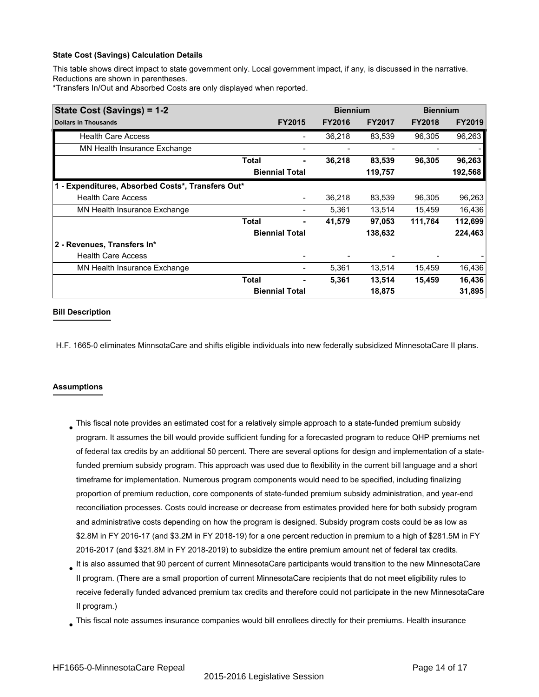This table shows direct impact to state government only. Local government impact, if any, is discussed in the narrative. Reductions are shown in parentheses.

\*Transfers In/Out and Absorbed Costs are only displayed when reported.

| State Cost (Savings) = 1-2                        |              | <b>Biennium</b>       |               |               | <b>Biennium</b> |               |
|---------------------------------------------------|--------------|-----------------------|---------------|---------------|-----------------|---------------|
| <b>Dollars in Thousands</b>                       |              | <b>FY2015</b>         | <b>FY2016</b> | <b>FY2017</b> | <b>FY2018</b>   | <b>FY2019</b> |
| <b>Health Care Access</b>                         |              |                       | 36,218        | 83,539        | 96,305          | 96,263        |
| MN Health Insurance Exchange                      |              |                       |               |               |                 |               |
|                                                   | <b>Total</b> | ٠                     | 36,218        | 83,539        | 96,305          | 96,263        |
|                                                   |              | <b>Biennial Total</b> |               | 119,757       |                 | 192,568       |
| 1 - Expenditures, Absorbed Costs*, Transfers Out* |              |                       |               |               |                 |               |
| <b>Health Care Access</b>                         |              |                       | 36,218        | 83,539        | 96,305          | 96,263        |
| MN Health Insurance Exchange                      |              |                       | 5,361         | 13,514        | 15,459          | 16,436        |
|                                                   | Total        |                       | 41,579        | 97,053        | 111,764         | 112,699       |
|                                                   |              | <b>Biennial Total</b> |               | 138,632       |                 | 224,463       |
| 2 - Revenues, Transfers In*                       |              |                       |               |               |                 |               |
| <b>Health Care Access</b>                         |              |                       |               |               |                 |               |
| MN Health Insurance Exchange                      |              |                       | 5,361         | 13,514        | 15,459          | 16,436        |
|                                                   | <b>Total</b> |                       | 5,361         | 13,514        | 15,459          | 16,436        |
|                                                   |              | <b>Biennial Total</b> |               | 18,875        |                 | 31,895        |

### **Bill Description**

H.F. 1665-0 eliminates MinnsotaCare and shifts eligible individuals into new federally subsidized MinnesotaCare II plans.

### **Assumptions**

- $_{\bullet}$  This fiscal note provides an estimated cost for a relatively simple approach to a state-funded premium subsidy program. It assumes the bill would provide sufficient funding for a forecasted program to reduce QHP premiums net of federal tax credits by an additional 50 percent. There are several options for design and implementation of a statefunded premium subsidy program. This approach was used due to flexibility in the current bill language and a short timeframe for implementation. Numerous program components would need to be specified, including finalizing proportion of premium reduction, core components of state-funded premium subsidy administration, and year-end reconciliation processes. Costs could increase or decrease from estimates provided here for both subsidy program and administrative costs depending on how the program is designed. Subsidy program costs could be as low as \$2.8M in FY 2016-17 (and \$3.2M in FY 2018-19) for a one percent reduction in premium to a high of \$281.5M in FY 2016-2017 (and \$321.8M in FY 2018-2019) to subsidize the entire premium amount net of federal tax credits.
- $_{\bullet}$  It is also assumed that 90 percent of current MinnesotaCare participants would transition to the new MinnesotaCare II program. (There are a small proportion of current MinnesotaCare recipients that do not meet eligibility rules to receive federally funded advanced premium tax credits and therefore could not participate in the new MinnesotaCare II program.)
- This fiscal note assumes insurance companies would bill enrollees directly for their premiums. Health insurance ●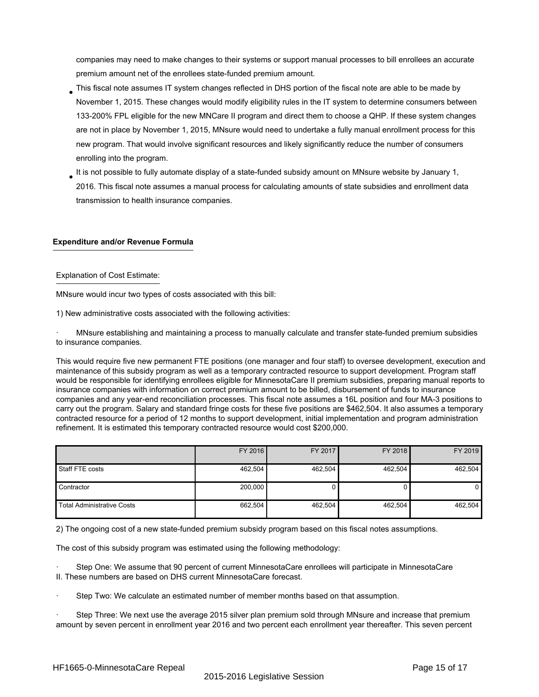companies may need to make changes to their systems or support manual processes to bill enrollees an accurate premium amount net of the enrollees state-funded premium amount.

- This fiscal note assumes IT system changes reflected in DHS portion of the fiscal note are able to be made by November 1, 2015. These changes would modify eligibility rules in the IT system to determine consumers between 133-200% FPL eligible for the new MNCare II program and direct them to choose a QHP. If these system changes are not in place by November 1, 2015, MNsure would need to undertake a fully manual enrollment process for this new program. That would involve significant resources and likely significantly reduce the number of consumers enrolling into the program. ●
- It is not possible to fully automate display of a state-funded subsidy amount on MNsure website by January 1, 2016. This fiscal note assumes a manual process for calculating amounts of state subsidies and enrollment data transmission to health insurance companies. ●

# **Expenditure and/or Revenue Formula**

# Explanation of Cost Estimate:

MNsure would incur two types of costs associated with this bill:

1) New administrative costs associated with the following activities:

· MNsure establishing and maintaining a process to manually calculate and transfer state-funded premium subsidies to insurance companies.

This would require five new permanent FTE positions (one manager and four staff) to oversee development, execution and maintenance of this subsidy program as well as a temporary contracted resource to support development. Program staff would be responsible for identifying enrollees eligible for MinnesotaCare II premium subsidies, preparing manual reports to insurance companies with information on correct premium amount to be billed, disbursement of funds to insurance companies and any year-end reconciliation processes. This fiscal note assumes a 16L position and four MA-3 positions to carry out the program. Salary and standard fringe costs for these five positions are \$462,504. It also assumes a temporary contracted resource for a period of 12 months to support development, initial implementation and program administration refinement. It is estimated this temporary contracted resource would cost \$200,000.

|                                   | FY 2016 | FY 2017 | FY 2018 | FY 2019        |
|-----------------------------------|---------|---------|---------|----------------|
| Staff FTE costs                   | 462,504 | 462,504 | 462,504 | 462,504        |
| Contractor                        | 200,000 |         |         | 0 <sup>1</sup> |
| <b>Total Administrative Costs</b> | 662,504 | 462,504 | 462,504 | 462,504        |

2) The ongoing cost of a new state-funded premium subsidy program based on this fiscal notes assumptions.

The cost of this subsidy program was estimated using the following methodology:

Step One: We assume that 90 percent of current MinnesotaCare enrollees will participate in MinnesotaCare II. These numbers are based on DHS current MinnesotaCare forecast.

Step Two: We calculate an estimated number of member months based on that assumption.

Step Three: We next use the average 2015 silver plan premium sold through MNsure and increase that premium amount by seven percent in enrollment year 2016 and two percent each enrollment year thereafter. This seven percent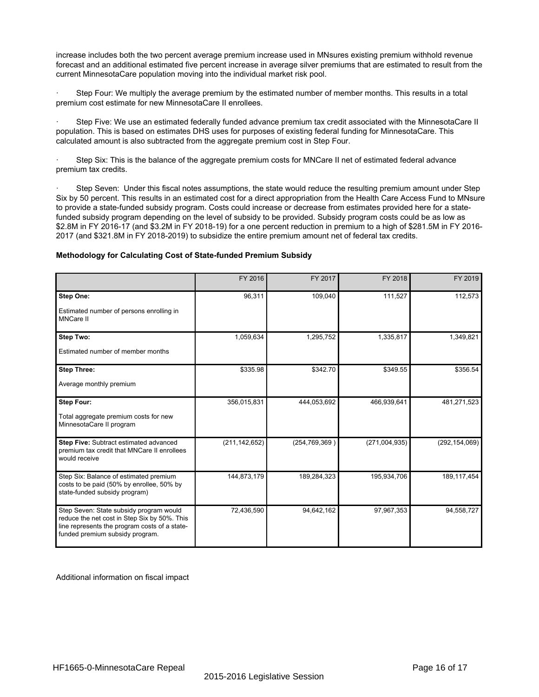increase includes both the two percent average premium increase used in MNsures existing premium withhold revenue forecast and an additional estimated five percent increase in average silver premiums that are estimated to result from the current MinnesotaCare population moving into the individual market risk pool.

Step Four: We multiply the average premium by the estimated number of member months. This results in a total premium cost estimate for new MinnesotaCare II enrollees.

Step Five: We use an estimated federally funded advance premium tax credit associated with the MinnesotaCare II population. This is based on estimates DHS uses for purposes of existing federal funding for MinnesotaCare. This calculated amount is also subtracted from the aggregate premium cost in Step Four.

Step Six: This is the balance of the aggregate premium costs for MNCare II net of estimated federal advance premium tax credits.

Step Seven: Under this fiscal notes assumptions, the state would reduce the resulting premium amount under Step Six by 50 percent. This results in an estimated cost for a direct appropriation from the Health Care Access Fund to MNsure to provide a state-funded subsidy program. Costs could increase or decrease from estimates provided here for a statefunded subsidy program depending on the level of subsidy to be provided. Subsidy program costs could be as low as \$2.8M in FY 2016-17 (and \$3.2M in FY 2018-19) for a one percent reduction in premium to a high of \$281.5M in FY 2016- 2017 (and \$321.8M in FY 2018-2019) to subsidize the entire premium amount net of federal tax credits.

#### **Methodology for Calculating Cost of State-funded Premium Subsidy**

|                                                                                                                                                                             | FY 2016         | FY 2017       | FY 2018       | FY 2019         |
|-----------------------------------------------------------------------------------------------------------------------------------------------------------------------------|-----------------|---------------|---------------|-----------------|
| Step One:<br>Estimated number of persons enrolling in<br><b>MNCare II</b>                                                                                                   | 96,311          | 109,040       | 111,527       | 112,573         |
| Step Two:<br>Estimated number of member months                                                                                                                              | 1,059,634       | 1,295,752     | 1,335,817     | 1,349,821       |
| <b>Step Three:</b><br>Average monthly premium                                                                                                                               | \$335.98        | \$342.70      | \$349.55      | \$356.54        |
| <b>Step Four:</b><br>Total aggregate premium costs for new<br>MinnesotaCare II program                                                                                      | 356,015,831     | 444,053,692   | 466,939,641   | 481,271,523     |
| Step Five: Subtract estimated advanced<br>premium tax credit that MNCare II enrollees<br>would receive                                                                      | (211, 142, 652) | (254,769,369) | (271,004,935) | (292, 154, 069) |
| Step Six: Balance of estimated premium<br>costs to be paid (50% by enrollee, 50% by<br>state-funded subsidy program)                                                        | 144,873,179     | 189,284,323   | 195,934,706   | 189, 117, 454   |
| Step Seven: State subsidy program would<br>reduce the net cost in Step Six by 50%. This<br>line represents the program costs of a state-<br>funded premium subsidy program. | 72,436,590      | 94,642,162    | 97,967,353    | 94,558,727      |

Additional information on fiscal impact